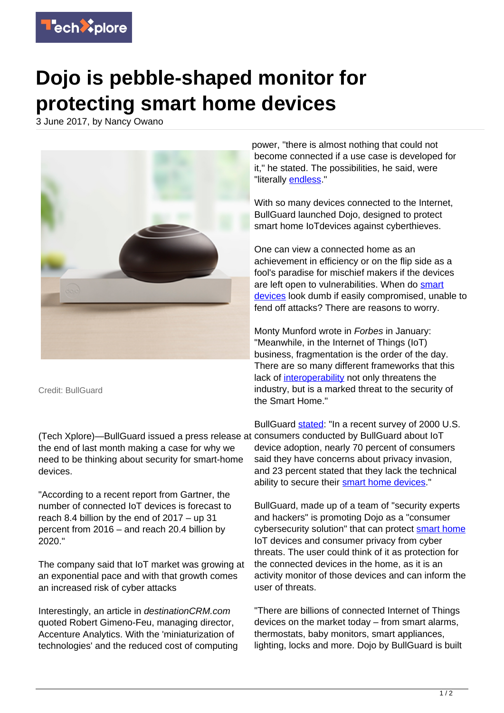

## **Dojo is pebble-shaped monitor for protecting smart home devices**

3 June 2017, by Nancy Owano



Credit: BullGuard

(Tech Xplore)—BullGuard issued a press release at consumers conducted by BullGuard about IoT the end of last month making a case for why we need to be thinking about security for smart-home devices.

"According to a recent report from Gartner, the number of connected IoT devices is forecast to reach 8.4 billion by the end of 2017 – up 31 percent from 2016 – and reach 20.4 billion by 2020."

The company said that IoT market was growing at an exponential pace and with that growth comes an increased risk of cyber attacks

Interestingly, an article in destinationCRM.com quoted Robert Gimeno-Feu, managing director, Accenture Analytics. With the 'miniaturization of technologies' and the reduced cost of computing power, "there is almost nothing that could not become connected if a use case is developed for it," he stated. The possibilities, he said, were "literally [endless.](http://www.destinationcrm.com/Articles/Editorial/Magazine-Features/A-Marketers-Guide-to-The-Internet-of-Things-118482.aspx)"

With so many devices connected to the Internet, BullGuard launched Dojo, designed to protect smart home IoTdevices against cyberthieves.

One can view a connected home as an achievement in efficiency or on the flip side as a fool's paradise for mischief makers if the devices are left open to vulnerabilities. When do [smart](https://techxplore.com/tags/smart+devices/) [devices](https://techxplore.com/tags/smart+devices/) look dumb if easily compromised, unable to fend off attacks? There are reasons to worry.

Monty Munford wrote in Forbes in January: "Meanwhile, in the Internet of Things (IoT) business, fragmentation is the order of the day. There are so many different frameworks that this lack of [interoperability](https://www.forbes.com/sites/montymunford/2017/01/25/after-ces-2017-will-finally-bring-reliable-iot-cybersecurity-products/#754b19231060) not only threatens the industry, but is a marked threat to the security of the Smart Home."

BullGuard [stated](http://www.prnewswire.com/news-releases/bullguard-launches-dojo-the-worlds-most-comprehensive-smart-home-cybersecurity-solution-300466088.html): "In a recent survey of 2000 U.S. device adoption, nearly 70 percent of consumers said they have concerns about privacy invasion, and 23 percent stated that they lack the technical ability to secure their [smart home devices.](https://techxplore.com/tags/smart+home+devices/)"

BullGuard, made up of a team of "security experts and hackers" is promoting Dojo as a "consumer cybersecurity solution" that can protect [smart home](https://techxplore.com/tags/smart+home/) IoT devices and consumer privacy from cyber threats. The user could think of it as protection for the connected devices in the home, as it is an activity monitor of those devices and can inform the user of threats.

"There are billions of connected Internet of Things devices on the market today – from smart alarms, thermostats, baby monitors, smart appliances, lighting, locks and more. Dojo by BullGuard is built